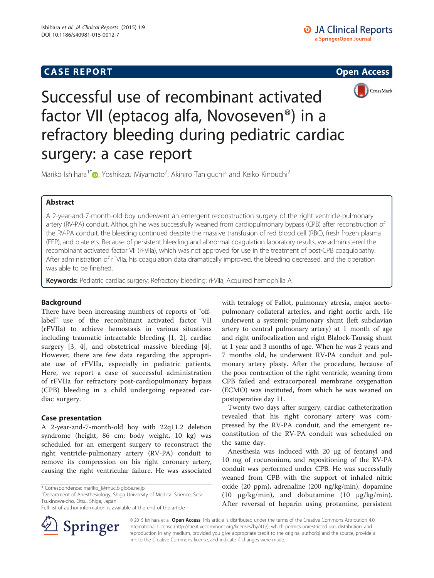# **CASE REPORT CASE REPORT CASE REPORT**





Successful use of recombinant activated factor VII (eptacog alfa, Novoseven®) in a refractory bleeding during pediatric cardiac surgery: a case report

Mariko Ishihara<sup>1[\\*](http://orcid.org/0000-0001-8653-2670)</sup>�, Yoshikazu Miyamoto<sup>2</sup>, Akihiro Taniguchi<sup>2</sup> and Keiko Kinouchi<sup>2</sup>

## Abstract

A 2-year-and-7-month-old boy underwent an emergent reconstruction surgery of the right ventricle-pulmonary artery (RV-PA) conduit. Although he was successfully weaned from cardiopulmonary bypass (CPB) after reconstruction of the RV-PA conduit, the bleeding continued despite the massive transfusion of red blood cell (RBC), fresh frozen plasma (FFP), and platelets. Because of persistent bleeding and abnormal coagulation laboratory results, we administered the recombinant activated factor VII (rFVIIa), which was not approved for use in the treatment of post-CPB coagulopathy. After administration of rFVIIa, his coagulation data dramatically improved, the bleeding decreased, and the operation was able to be finished.

Keywords: Pediatric cardiac surgery; Refractory bleeding; rFVIIa; Acquired hemophilia A

## Background

There have been increasing numbers of reports of "offlabel" use of the recombinant activated factor VII (rFVIIa) to achieve hemostasis in various situations including traumatic intractable bleeding [\[1](#page-3-0), [2](#page-3-0)], cardiac surgery [[3, 4\]](#page-3-0), and obstetrical massive bleeding [[4](#page-3-0)]. However, there are few data regarding the appropriate use of rFVIIa, especially in pediatric patients. Here, we report a case of successful administration of rFVIIa for refractory post-cardiopulmonary bypass (CPB) bleeding in a child undergoing repeated cardiac surgery.

### Case presentation

A 2-year-and-7-month-old boy with 22q11.2 deletion syndrome (height, 86 cm; body weight, 10 kg) was scheduled for an emergent surgery to reconstruct the right ventricle-pulmonary artery (RV-PA) conduit to remove its compression on his right coronary artery, causing the right ventricular failure. He was associated

<sup>1</sup>Department of Anesthesiology, Shiga University of Medical Science, Seta Tsukinowa-cho, Otsu, Shiga, Japan



Twenty-two days after surgery, cardiac catheterization revealed that his right coronary artery was compressed by the RV-PA conduit, and the emergent reconstitution of the RV-PA conduit was scheduled on the same day.

Anesthesia was induced with 20 μg of fentanyl and 10 mg of rocuronium, and repositioning of the RV-PA conduit was performed under CPB. He was successfully weaned from CPB with the support of inhaled nitric oxide (20 ppm), adrenaline (200 ng/kg/min), dopamine (10 μg/kg/min), and dobutamine (10 μg/kg/min). After reversal of heparin using protamine, persistent



© 2015 Ishihara et al. Open Access This article is distributed under the terms of the Creative Commons Attribution 4.0 International License ([http://creativecommons.org/licenses/by/4.0/\)](http://creativecommons.org/licenses/by/4.0/), which permits unrestricted use, distribution, and reproduction in any medium, provided you give appropriate credit to the original author(s) and the source, provide a link to the Creative Commons license, and indicate if changes were made.

<sup>\*</sup> Correspondence: [mariko\\_i@muc.biglobe.ne.jp](mailto:mariko_i@muc.biglobe.ne.jp) <sup>1</sup>

Full list of author information is available at the end of the article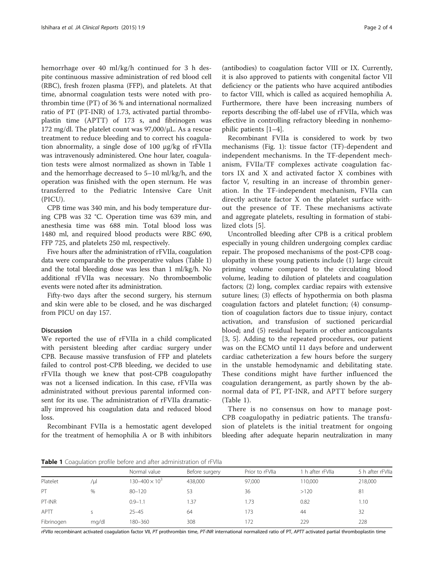hemorrhage over 40 ml/kg/h continued for 3 h despite continuous massive administration of red blood cell (RBC), fresh frozen plasma (FFP), and platelets. At that time, abnormal coagulation tests were noted with prothrombin time (PT) of 36 % and international normalized ratio of PT (PT-INR) of 1.73, activated partial thromboplastin time (APTT) of 173 s, and fibrinogen was 172 mg/dl. The platelet count was 97,000/μL. As a rescue treatment to reduce bleeding and to correct his coagulation abnormality, a single dose of 100 μg/kg of rFVIIa was intravenously administered. One hour later, coagulation tests were almost normalized as shown in Table 1 and the hemorrhage decreased to 5–10 ml/kg/h, and the operation was finished with the open sternum. He was transferred to the Pediatric Intensive Care Unit (PICU).

CPB time was 340 min, and his body temperature during CPB was 32 °C. Operation time was 639 min, and anesthesia time was 688 min. Total blood loss was 1480 ml, and required blood products were RBC 690, FFP 725, and platelets 250 ml, respectively.

Five hours after the administration of rFVIIa, coagulation data were comparable to the preoperative values (Table 1) and the total bleeding dose was less than 1 ml/kg/h. No additional rFVIIa was necessary. No thromboembolic events were noted after its administration.

Fifty-two days after the second surgery, his sternum and skin were able to be closed, and he was discharged from PICU on day 157.

### Discussion

We reported the use of rFVIIa in a child complicated with persistent bleeding after cardiac surgery under CPB. Because massive transfusion of FFP and platelets failed to control post-CPB bleeding, we decided to use rFVIIa though we knew that post-CPB coagulopathy was not a licensed indication. In this case, rFVIIa was administrated without previous parental informed consent for its use. The administration of rFVIIa dramatically improved his coagulation data and reduced blood loss.

Recombinant FVIIa is a hemostatic agent developed for the treatment of hemophilia A or B with inhibitors

(antibodies) to coagulation factor VIII or IX. Currently, it is also approved to patients with congenital factor VII deficiency or the patients who have acquired antibodies to factor VIII, which is called as acquired hemophilia A. Furthermore, there have been increasing numbers of reports describing the off-label use of rFVIIa, which was effective in controlling refractory bleeding in nonhemophilic patients [[1](#page-3-0)–[4](#page-3-0)].

Recombinant FVIIa is considered to work by two mechanisms (Fig. [1\)](#page-2-0): tissue factor (TF)-dependent and independent mechanisms. In the TF-dependent mechanism, FVIIa/TF complexes activate coagulation factors IX and X and activated factor X combines with factor V, resulting in an increase of thrombin generation. In the TF-independent mechanism, FVIIa can directly activate factor X on the platelet surface without the presence of TF. These mechanisms activate and aggregate platelets, resulting in formation of stabilized clots [[5](#page-3-0)].

Uncontrolled bleeding after CPB is a critical problem especially in young children undergoing complex cardiac repair. The proposed mechanisms of the post-CPB coagulopathy in these young patients include (1) large circuit priming volume compared to the circulating blood volume, leading to dilution of platelets and coagulation factors; (2) long, complex cardiac repairs with extensive suture lines; (3) effects of hypothermia on both plasma coagulation factors and platelet function; (4) consumption of coagulation factors due to tissue injury, contact activation, and transfusion of suctioned pericardial blood; and (5) residual heparin or other anticoagulants [[3, 5](#page-3-0)]. Adding to the repeated procedures, our patient was on the ECMO until 11 days before and underwent cardiac catheterization a few hours before the surgery in the unstable hemodynamic and debilitating state. These conditions might have further influenced the coagulation derangement, as partly shown by the abnormal data of PT, PT-INR, and APTT before surgery (Table 1).

There is no consensus on how to manage post-CPB coagulopathy in pediatric patients. The transfusion of platelets is the initial treatment for ongoing bleeding after adequate heparin neutralization in many

Table 1 Coagulation profile before and after administration of rFVIIa

| <b>A WIND A CONSUMING I</b> TO MOTOR OUT OF STATE STATE STATES IN THE STATE OF THE STATE OF THE STATE OF THE STATE OF |       |                         |                |                 |                  |                  |
|-----------------------------------------------------------------------------------------------------------------------|-------|-------------------------|----------------|-----------------|------------------|------------------|
|                                                                                                                       |       | Normal value            | Before surgery | Prior to rFVIIa | 1 h after rFVlla | 5 h after rFVIIa |
| Platelet                                                                                                              | /ul   | $130 - 400 \times 10^3$ | 438,000        | 97,000          | 110,000          | 218,000          |
| PT                                                                                                                    | $\%$  | $80 - 120$              | 53             | 36              | >120             | 81               |
| PT-INR                                                                                                                |       | $0.9 - 1.1$             | 1.37           | 1.73            | 0.82             | 1.10             |
| APTT                                                                                                                  |       | $25 - 45$               | 64             | 173             | 44               | 32               |
| Fibrinogen                                                                                                            | mg/dl | 180-360                 | 308            | 172             | 229              | 228              |

rFVIIa recombinant activated coagulation factor VII, PT prothrombin time, PT-INR international normalized ratio of PT, APTT activated partial thromboplastin time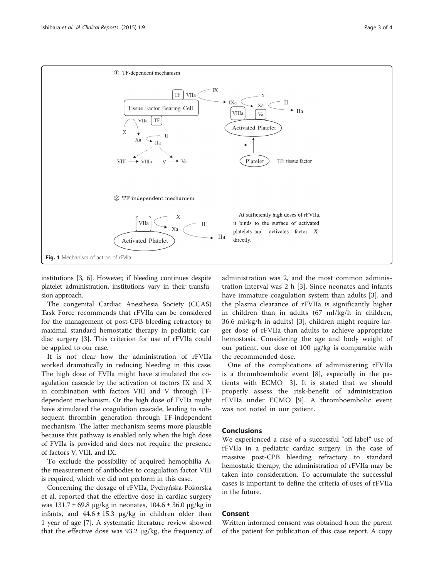<span id="page-2-0"></span>

institutions [\[3, 6\]](#page-3-0). However, if bleeding continues despite platelet administration, institutions vary in their transfusion approach.

The congenital Cardiac Anesthesia Society (CCAS) Task Force recommends that rFVIIa can be considered for the management of post-CPB bleeding refractory to maximal standard hemostatic therapy in pediatric cardiac surgery [[3\]](#page-3-0). This criterion for use of rFVIIa could be applied to our case.

It is not clear how the administration of rFVIIa worked dramatically in reducing bleeding in this case. The high dose of FVIIa might have stimulated the coagulation cascade by the activation of factors IX and X in combination with factors VIII and V through TFdependent mechanism. Or the high dose of FVIIa might have stimulated the coagulation cascade, leading to subsequent thrombin generation through TF-independent mechanism. The latter mechanism seems more plausible because this pathway is enabled only when the high dose of FVIIa is provided and does not require the presence of factors V, VIII, and IX.

To exclude the possibility of acquired hemophilia A, the measurement of antibodies to coagulation factor VIII is required, which we did not perform in this case.

Concerning the dosage of rFVIIa, Pychyńska-Pokorska et al. reported that the effective dose in cardiac surgery was 131.7 ± 69.8 μg/kg in neonates, 104.6 ± 36.0 μg/kg in infants, and  $44.6 \pm 15.3$   $\mu$ g/kg in children older than 1 year of age [[7\]](#page-3-0). A systematic literature review showed that the effective dose was 93.2 μg/kg, the frequency of

administration was 2, and the most common administration interval was 2 h [\[3](#page-3-0)]. Since neonates and infants have immature coagulation system than adults [\[3](#page-3-0)], and the plasma clearance of rFVIIa is significantly higher in children than in adults (67 ml/kg/h in children, 36.6 ml/kg/h in adults) [\[3](#page-3-0)], children might require larger dose of rFVIIa than adults to achieve appropriate hemostasis. Considering the age and body weight of our patient, our dose of 100 μg/kg is comparable with the recommended dose.

One of the complications of administering rFVIIa is a thromboembolic event [\[8](#page-3-0)], especially in the patients with ECMO [\[3\]](#page-3-0). It is stated that we should properly assess the risk-benefit of administration rFVIIa under ECMO [[9](#page-3-0)]. A thromboembolic event was not noted in our patient.

#### Conclusions

We experienced a case of a successful "off-label" use of rFVIIa in a pediatric cardiac surgery. In the case of massive post-CPB bleeding refractory to standard hemostatic therapy, the administration of rFVIIa may be taken into consideration. To accumulate the successful cases is important to define the criteria of uses of rFVIIa in the future.

### Consent

Written informed consent was obtained from the parent of the patient for publication of this case report. A copy